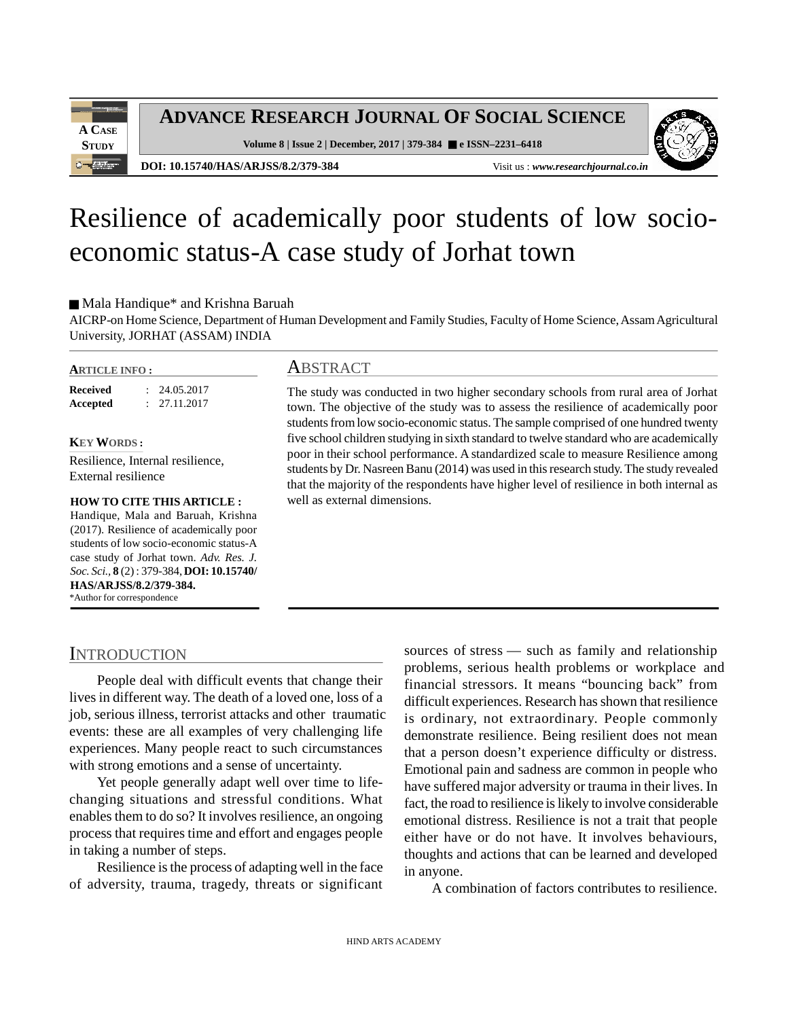

**ADVANCE RESEARCH JOURNAL OF SOCIAL SCIENCE**

**Volume 8 | Issue 2 | December, 2017 | 379-384 e ISSN–2231–6418**



**DOI: 10.15740/HAS/ARJSS/8.2/379-384** Visit us : *www.researchjournal.co.in*

# Resilience of academically poor students of low socioeconomic status-A case study of Jorhat town

Mala Handique\* and Krishna Baruah

AICRP-on Home Science, Department of Human Development and Family Studies, Faculty of Home Science, Assam Agricultural University, JORHAT (ASSAM) INDIA

#### **ARTICLE INFO :**

**Received** : 24.05.2017 **Accepted** : 27.11.2017

**KEY WORDS :**

Resilience, Internal resilience, External resilience

# **HOW TO CITE THIS ARTICLE :**

Handique, Mala and Baruah, Krishna (2017). Resilience of academically poor students of low socio-economic status-A case study of Jorhat town. *Adv. Res. J. Soc. Sci.,* **8** (2) : 379-384, **DOI: 10.15740/ HAS/ARJSS/8.2/379-384.** \*Author for correspondence

#### **ABSTRACT**

The study was conducted in two higher secondary schools from rural area of Jorhat town. The objective of the study was to assess the resilience of academically poor students from low socio-economic status. The sample comprised of one hundred twenty five school children studying in sixth standard to twelve standard who are academically poor in their school performance. A standardized scale to measure Resilience among students by Dr. Nasreen Banu (2014) was used in this research study. The study revealed that the majority of the respondents have higher level of resilience in both internal as well as external dimensions.

# **INTRODUCTION**

People deal with difficult events that change their lives in different way. The death of a loved one, loss of a job, serious illness, terrorist attacks and other traumatic events: these are all examples of very challenging life experiences. Many people react to such circumstances with strong emotions and a sense of uncertainty.

Yet people generally adapt well over time to lifechanging situations and stressful conditions. What enables them to do so? It involves resilience, an ongoing process that requires time and effort and engages people in taking a number of steps.

Resilience is the process of adapting well in the face of adversity, trauma, tragedy, threats or significant

sources of stress — such as family and relationship problems, serious health problems or workplace and financial stressors. It means "bouncing back" from difficult experiences. Research has shown that resilience is ordinary, not extraordinary. People commonly demonstrate resilience. Being resilient does not mean that a person doesn't experience difficulty or distress. Emotional pain and sadness are common in people who have suffered major adversity or trauma in their lives. In fact, the road to resilience is likely to involve considerable emotional distress. Resilience is not a trait that people either have or do not have. It involves behaviours, thoughts and actions that can be learned and developed in anyone.

A combination of factors contributes to resilience.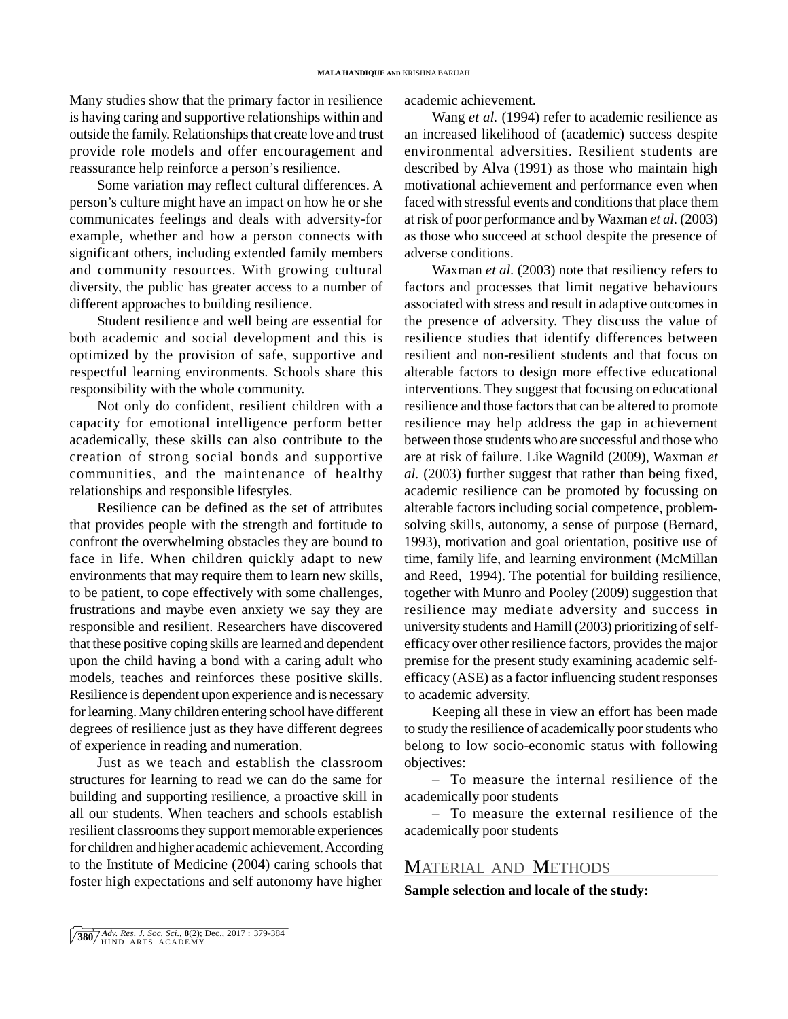Many studies show that the primary factor in resilience is having caring and supportive relationships within and outside the family. Relationships that create love and trust provide role models and offer encouragement and reassurance help reinforce a person's resilience.

Some variation may reflect cultural differences. A person's culture might have an impact on how he or she communicates feelings and deals with adversity-for example, whether and how a person connects with significant others, including extended family members and community resources. With growing cultural diversity, the public has greater access to a number of different approaches to building resilience.

Student resilience and well being are essential for both academic and social development and this is optimized by the provision of safe, supportive and respectful learning environments. Schools share this responsibility with the whole community.

Not only do confident, resilient children with a capacity for emotional intelligence perform better academically, these skills can also contribute to the creation of strong social bonds and supportive communities, and the maintenance of healthy relationships and responsible lifestyles.

Resilience can be defined as the set of attributes that provides people with the strength and fortitude to confront the overwhelming obstacles they are bound to face in life. When children quickly adapt to new environments that may require them to learn new skills, to be patient, to cope effectively with some challenges, frustrations and maybe even anxiety we say they are responsible and resilient. Researchers have discovered that these positive coping skills are learned and dependent upon the child having a bond with a caring adult who models, teaches and reinforces these positive skills. Resilience is dependent upon experience and is necessary for learning. Many children entering school have different degrees of resilience just as they have different degrees of experience in reading and numeration.

Just as we teach and establish the classroom structures for learning to read we can do the same for building and supporting resilience, a proactive skill in all our students. When teachers and schools establish resilient classrooms they support memorable experiences for children and higher academic achievement. According to the Institute of Medicine (2004) caring schools that foster high expectations and self autonomy have higher

academic achievement.

Wang *et al.* (1994) refer to academic resilience as an increased likelihood of (academic) success despite environmental adversities. Resilient students are described by Alva (1991) as those who maintain high motivational achievement and performance even when faced with stressful events and conditions that place them at risk of poor performance and by Waxman *et al.* (2003) as those who succeed at school despite the presence of adverse conditions.

Waxman *et al.* (2003) note that resiliency refers to factors and processes that limit negative behaviours associated with stress and result in adaptive outcomes in the presence of adversity. They discuss the value of resilience studies that identify differences between resilient and non-resilient students and that focus on alterable factors to design more effective educational interventions. They suggest that focusing on educational resilience and those factors that can be altered to promote resilience may help address the gap in achievement between those students who are successful and those who are at risk of failure. Like Wagnild (2009), Waxman *et al.* (2003) further suggest that rather than being fixed, academic resilience can be promoted by focussing on alterable factors including social competence, problemsolving skills, autonomy, a sense of purpose (Bernard, 1993), motivation and goal orientation, positive use of time, family life, and learning environment (McMillan and Reed, 1994). The potential for building resilience, together with Munro and Pooley (2009) suggestion that resilience may mediate adversity and success in university students and Hamill (2003) prioritizing of selfefficacy over other resilience factors, provides the major premise for the present study examining academic selfefficacy (ASE) as a factor influencing student responses to academic adversity.

Keeping all these in view an effort has been made to study the resilience of academically poor students who belong to low socio-economic status with following objectives:

– To measure the internal resilience of the academically poor students

– To measure the external resilience of the academically poor students

## MATERIAL AND METHODS

**Sample selection and locale of the study:**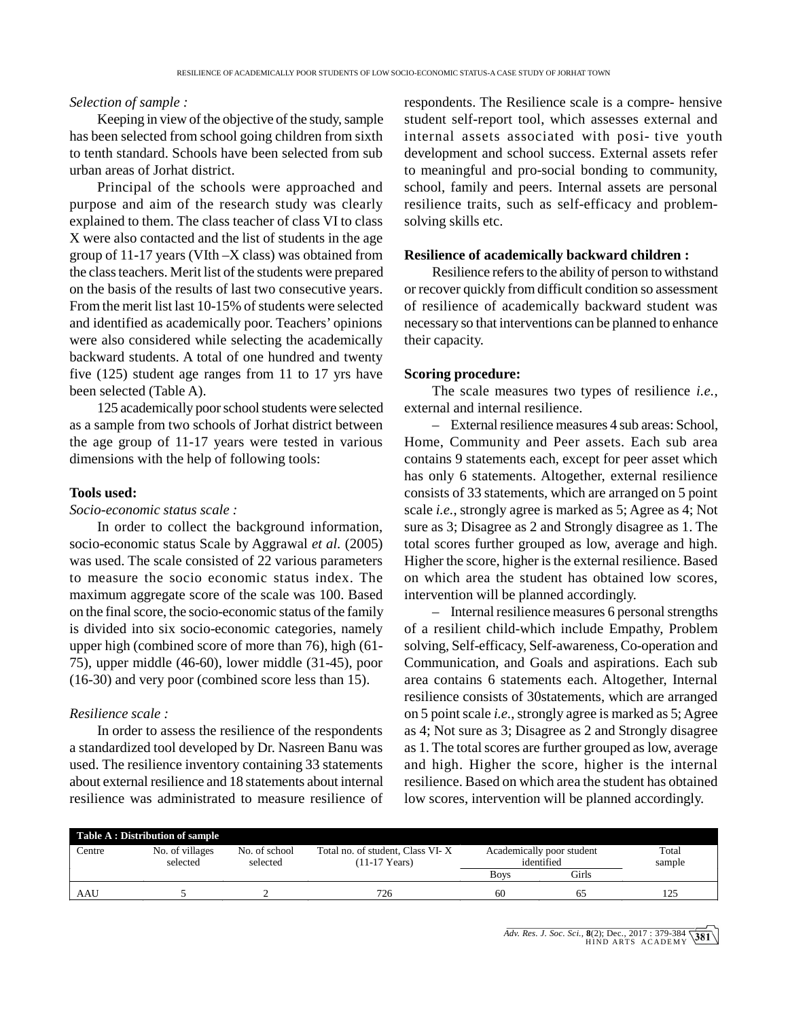#### *Selection of sample :*

Keeping in view of the objective of the study, sample to tenth standard. Schools have been selected from sub urban areas of Jorhat district.

Principal of the schools were approached and purpose and aim of the research study was clearly explained to them. The class teacher of class VI to class X were also contacted and the list of students in the age group of 11-17 years (VIth –X class) was obtained from the class teachers. Merit list of the students were prepared on the basis of the results of last two consecutive years. From the merit list last 10-15% of students were selected and identified as academically poor. Teachers' opinions were also considered while selecting the academically backward students. A total of one hundred and twenty five (125) student age ranges from 11 to 17 yrs have been selected (Table A).

125 academically poor school students were selected as a sample from two schools of Jorhat district between the age group of 11-17 years were tested in various dimensions with the help of following tools:

#### **Tools used:**

*Socio-economic status scale :*

In order to collect the background information, socio-economic status Scale by Aggrawal *et al.* (2005) was used. The scale consisted of 22 various parameters to measure the socio economic status index. The maximum aggregate score of the scale was 100. Based on the final score, the socio-economic status of the family is divided into six socio-economic categories, namely upper high (combined score of more than 76), high (61- 75), upper middle (46-60), lower middle (31-45), poor (16-30) and very poor (combined score less than 15).

#### *Resilience scale :*

In order to assess the resilience of the respondents a standardized tool developed by Dr. Nasreen Banu was used. The resilience inventory containing 33 statements about external resilience and 18 statements about internal resilience was administrated to measure resilience of

has been selected from school going children from sixth internal assets associated with posi- tive youth TO-ECONOMIC STATUS-A CASE STUDY OF JORHAT TOWN<br>respondents. The Resilience scale is a compre- hensive<br>student self-report tool, which assesses external and student self-report tool, which assesses external and TO-ECONOMIC STATUS-A CASE STUDY OF JORHAT TOWN<br>
TESPONDENTS. The Resilience scale is a compre- hensive<br>
student self-report tool, which assesses external and<br>
internal assets associated with posi- tive youth<br>
development a development and school success. External assets refer to meaningful and pro-social bonding to community, school, family and peers. Internal assets are personal resilience traits, such as self-efficacy and problemsolving skills etc.

#### **Resilience of academically backward children :**

Resilience refers to the ability of person to withstand or recover quickly from difficult condition so assessment of resilience of academically backward student was necessary so that interventions can be planned to enhance their capacity.

#### **Scoring procedure:**

The scale measures two types of resilience *i.e.*, external and internal resilience.

– External resilience measures 4 sub areas: School, Home, Community and Peer assets. Each sub area contains 9 statements each, except for peer asset which has only 6 statements. Altogether, external resilience consists of 33 statements, which are arranged on 5 point scale *i.e.*, strongly agree is marked as 5; Agree as 4; Not sure as 3; Disagree as 2 and Strongly disagree as 1. The total scores further grouped as low, average and high. Higher the score, higher is the external resilience. Based on which area the student has obtained low scores, intervention will be planned accordingly.

– Internal resilience measures 6 personal strengths of a resilient child-which include Empathy, Problem solving, Self-efficacy, Self-awareness, Co-operation and Communication, and Goals and aspirations. Each sub area contains 6 statements each. Altogether, Internal resilience consists of 30statements, which are arranged on 5 point scale *i.e.*, strongly agree is marked as 5; Agree as 4; Not sure as 3; Disagree as 2 and Strongly disagree as 1. The total scores are further grouped as low, average and high. Higher the score, higher is the internal resilience. Based on which area the student has obtained low scores, intervention will be planned accordingly.

| <b>Table A: Distribution of sample</b> |                 |               |                                  |                           |       |        |  |  |
|----------------------------------------|-----------------|---------------|----------------------------------|---------------------------|-------|--------|--|--|
| Centre                                 | No. of villages | No. of school | Total no. of student, Class VI-X | Academically poor student |       | Total  |  |  |
|                                        | selected        | selected      | $(11-17$ Years)                  | identified                |       | sample |  |  |
|                                        |                 |               |                                  | <b>Boys</b>               | Girls |        |  |  |
| AAU                                    |                 |               | 726                              | 60                        |       | 125    |  |  |
|                                        |                 |               |                                  |                           |       |        |  |  |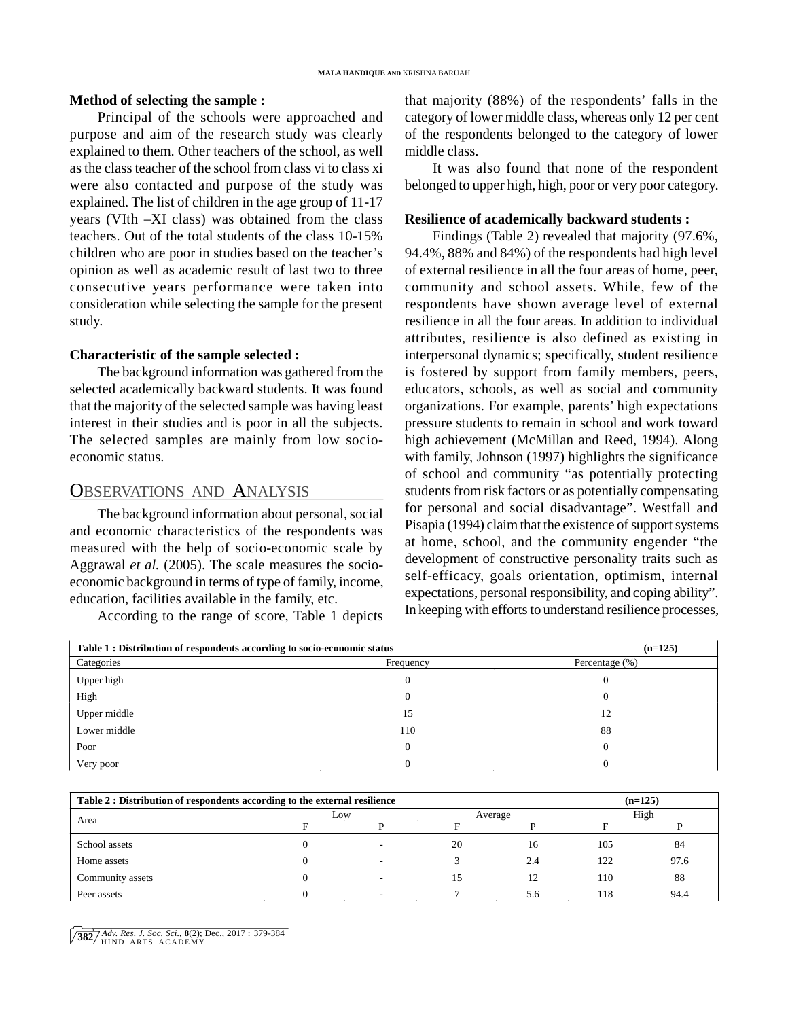#### **Method of selecting the sample :**

Principal of the schools were approached and purpose and aim of the research study was clearly explained to them. Other teachers of the school, as well as the class teacher of the school from class vi to class xi were also contacted and purpose of the study was explained. The list of children in the age group of 11-17 years (VIth –XI class) was obtained from the class teachers. Out of the total students of the class 10-15% children who are poor in studies based on the teacher's opinion as well as academic result of last two to three consecutive years performance were taken into consideration while selecting the sample for the present study.

#### **Characteristic of the sample selected :**

The background information was gathered from the selected academically backward students. It was found that the majority of the selected sample was having least interest in their studies and is poor in all the subjects. The selected samples are mainly from low socioeconomic status.

### OBSERVATIONS AND ANALYSIS

The background information about personal, social and economic characteristics of the respondents was measured with the help of socio-economic scale by Aggrawal *et al.* (2005). The scale measures the socioeconomic background in terms of type of family, income, education, facilities available in the family, etc.

According to the range of score, Table 1 depicts

that majority (88%) of the respondents' falls in the category of lower middle class, whereas only 12 per cent of the respondents belonged to the category of lower middle class.

It was also found that none of the respondent belonged to upper high, high, poor or very poor category.

#### **Resilience of academically backward students :**

Findings (Table 2) revealed that majority (97.6%, 94.4%, 88% and 84%) of the respondents had high level of external resilience in all the four areas of home, peer, community and school assets. While, few of the respondents have shown average level of external resilience in all the four areas. In addition to individual attributes, resilience is also defined as existing in interpersonal dynamics; specifically, student resilience is fostered by support from family members, peers, educators, schools, as well as social and community organizations. For example, parents' high expectations pressure students to remain in school and work toward high achievement (McMillan and Reed, 1994). Along with family, Johnson (1997) highlights the significance of school and community "as potentially protecting students from risk factors or as potentially compensating for personal and social disadvantage". Westfall and Pisapia (1994) claim that the existence of support systems at home, school, and the community engender "the development of constructive personality traits such as self-efficacy, goals orientation, optimism, internal expectations, personal responsibility, and coping ability". In keeping with efforts to understand resilience processes,

| Table 1 : Distribution of respondents according to socio-economic status | $(n=125)$ |                |  |
|--------------------------------------------------------------------------|-----------|----------------|--|
| Categories                                                               | Frequency | Percentage (%) |  |
| Upper high                                                               |           |                |  |
| High                                                                     |           |                |  |
| Upper middle                                                             | 15        | 12             |  |
| Lower middle                                                             | 110       | 88             |  |
| Poor                                                                     |           |                |  |
| Very poor                                                                |           |                |  |

| Table 2 : Distribution of respondents according to the external resilience |     |  |         |     | $(n=125)$ |      |
|----------------------------------------------------------------------------|-----|--|---------|-----|-----------|------|
|                                                                            | Low |  | Average |     | High      |      |
| Area                                                                       |     |  |         |     |           |      |
| School assets                                                              |     |  | 20      | 16  | 105       | 84   |
| Home assets                                                                |     |  |         | 2.4 | 122       | 97.6 |
| Community assets                                                           |     |  | 15      | 12  | 110       | 88   |
| Peer assets                                                                |     |  |         | 5.6 | 118       | 94.4 |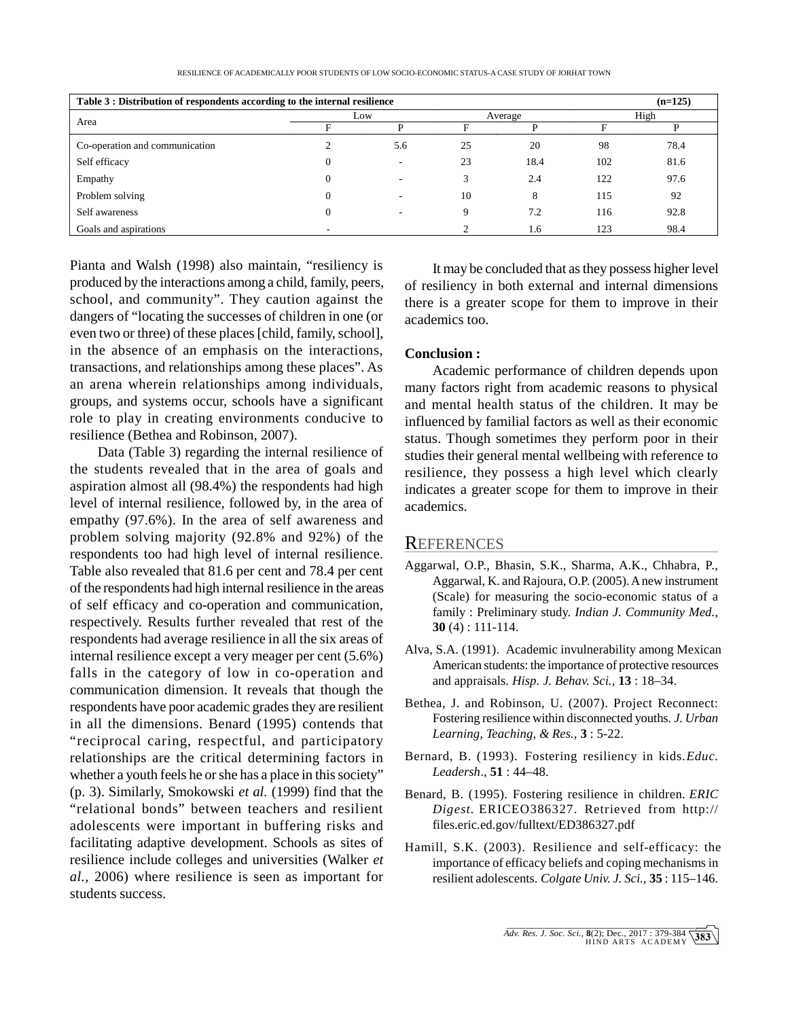RESILIENCE OF ACADEMICALLY POOR STUDENTS OF LOW SOCIO-ECONOMIC STATUS-A CASE STUDY OF JORHAT TOWN

| Table 3 : Distribution of respondents according to the internal resilience<br>$(n=125)$ |     |     |         |      |      |      |
|-----------------------------------------------------------------------------------------|-----|-----|---------|------|------|------|
| Area                                                                                    | Low |     | Average |      | High |      |
|                                                                                         |     |     |         |      |      |      |
| Co-operation and communication                                                          |     | 5.6 | 25      | 20   | 98   | 78.4 |
| Self efficacy                                                                           |     |     | 23      | 18.4 | 102  | 81.6 |
| Empathy                                                                                 |     |     |         | 2.4  | 122  | 97.6 |
| Problem solving                                                                         |     |     | 10      | 8    | 115  | 92   |
| Self awareness                                                                          |     |     | Q       | 7.2  | 116  | 92.8 |
| Goals and aspirations                                                                   | -   |     |         | 1.6  | 123  | 98.4 |

Pianta and Walsh (1998) also maintain, "resiliency is produced by the interactions among a child, family, peers, school, and community". They caution against the dangers of "locating the successes of children in one (or even two or three) of these places [child, family, school], in the absence of an emphasis on the interactions, transactions, and relationships among these places". As an arena wherein relationships among individuals, groups, and systems occur, schools have a significant role to play in creating environments conducive to resilience (Bethea and Robinson, 2007).

Data (Table 3) regarding the internal resilience of the students revealed that in the area of goals and aspiration almost all (98.4%) the respondents had high level of internal resilience, followed by, in the area of empathy (97.6%). In the area of self awareness and problem solving majority (92.8% and 92%) of the respondents too had high level of internal resilience. Table also revealed that 81.6 per cent and 78.4 per cent of the respondents had high internal resilience in the areas of self efficacy and co-operation and communication, respectively. Results further revealed that rest of the respondents had average resilience in all the six areas of internal resilience except a very meager per cent (5.6%) falls in the category of low in co-operation and communication dimension. It reveals that though the respondents have poor academic grades they are resilient in all the dimensions. Benard (1995) contends that "reciprocal caring, respectful, and participatory relationships are the critical determining factors in whether a youth feels he or she has a place in this society" (p. 3). Similarly, Smokowski *et al.* (1999) find that the "relational bonds" between teachers and resilient adolescents were important in buffering risks and facilitating adaptive development. Schools as sites of resilience include colleges and universities (Walker *et al.*, 2006) where resilience is seen as important for students success.

It may be concluded that as they possess higher level of resiliency in both external and internal dimensions there is a greater scope for them to improve in their academics too.

#### **Conclusion :**

Academic performance of children depends upon many factors right from academic reasons to physical and mental health status of the children. It may be influenced by familial factors as well as their economic status. Though sometimes they perform poor in their studies their general mental wellbeing with reference to resilience, they possess a high level which clearly indicates a greater scope for them to improve in their academics.

### **REFERENCES**

- Aggarwal, O.P., Bhasin, S.K., Sharma, A.K., Chhabra, P., Aggarwal, K. and Rajoura, O.P. (2005). A new instrument (Scale) for measuring the socio-economic status of a family : Preliminary study. *Indian J. Community Med.,* **30** (4) : 111-114.
- Alva, S.A. (1991). Academic invulnerability among Mexican American students: the importance of protective resources and appraisals. *Hisp. J. Behav. Sci.,* **13** : 18–34.
- Bethea, J. and Robinson, U. (2007). Project Reconnect: Fostering resilience within disconnected youths. *J. Urban Learning, Teaching, & Res.,* **3** : 5-22.
- Bernard, B. (1993). Fostering resiliency in kids. *Educ. Leadersh*., **51** : 44–48.
- Benard, B. (1995). Fostering resilience in children. *ERIC Digest.* ERICEO386327. Retrieved from http:// files.eric.ed.gov/fulltext/ED386327.pdf
- Hamill, S.K. (2003). Resilience and self-efficacy: the importance of efficacy beliefs and coping mechanisms in resilient adolescents. *Colgate Univ. J. Sci.,* **35** : 115–146.